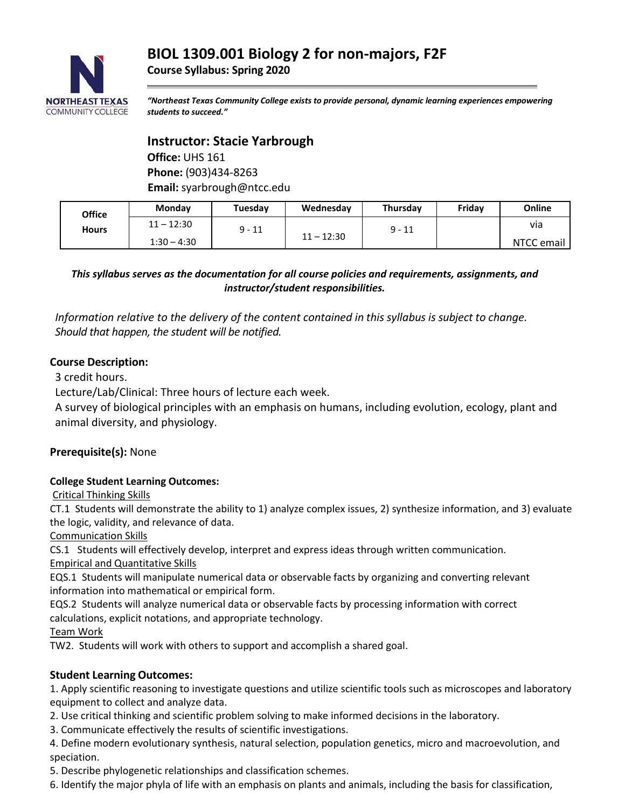

*"Northeast Texas Community College exists to provide personal, dynamic learning experiences empowering students to succeed."*

# **Instructor: Stacie Yarbrough**

**Office:** UHS 161 **Phone:** (903)434-8263 **Email:** syarbrough@ntcc.edu

| Office       | Monday        | Tuesday  | Wednesday    | Thursday | Fridav | Online       |
|--------------|---------------|----------|--------------|----------|--------|--------------|
| <b>Hours</b> | $11 - 12:30$  | $9 - 11$ |              | $9 - 11$ |        | via          |
|              | $1:30 - 4:30$ |          | $11 - 12:30$ |          |        | NTCC email I |

*This syllabus serves as the documentation for all course policies and requirements, assignments, and instructor/student responsibilities.*

*Information relative to the delivery of the content contained in this syllabus is subject to change. Should that happen, the student will be notified.*

# **Course Description:**

3 credit hours.

Lecture/Lab/Clinical: Three hours of lecture each week.

A survey of biological principles with an emphasis on humans, including evolution, ecology, plant and animal diversity, and physiology.

# **Prerequisite(s):** None

### **College Student Learning Outcomes:**

Critical Thinking Skills

CT.1 Students will demonstrate the ability to 1) analyze complex issues, 2) synthesize information, and 3) evaluate the logic, validity, and relevance of data.

Communication Skills

CS.1 Students will effectively develop, interpret and express ideas through written communication. Empirical and Quantitative Skills

EQS.1 Students will manipulate numerical data or observable facts by organizing and converting relevant information into mathematical or empirical form.

EQS.2 Students will analyze numerical data or observable facts by processing information with correct calculations, explicit notations, and appropriate technology.

Team Work

TW2. Students will work with others to support and accomplish a shared goal.

### **Student Learning Outcomes:**

1. Apply scientific reasoning to investigate questions and utilize scientific tools such as microscopes and laboratory equipment to collect and analyze data.

2. Use critical thinking and scientific problem solving to make informed decisions in the laboratory.

3. Communicate effectively the results of scientific investigations.

4. Define modern evolutionary synthesis, natural selection, population genetics, micro and macroevolution, and speciation.

5. Describe phylogenetic relationships and classification schemes.

6. Identify the major phyla of life with an emphasis on plants and animals, including the basis for classification,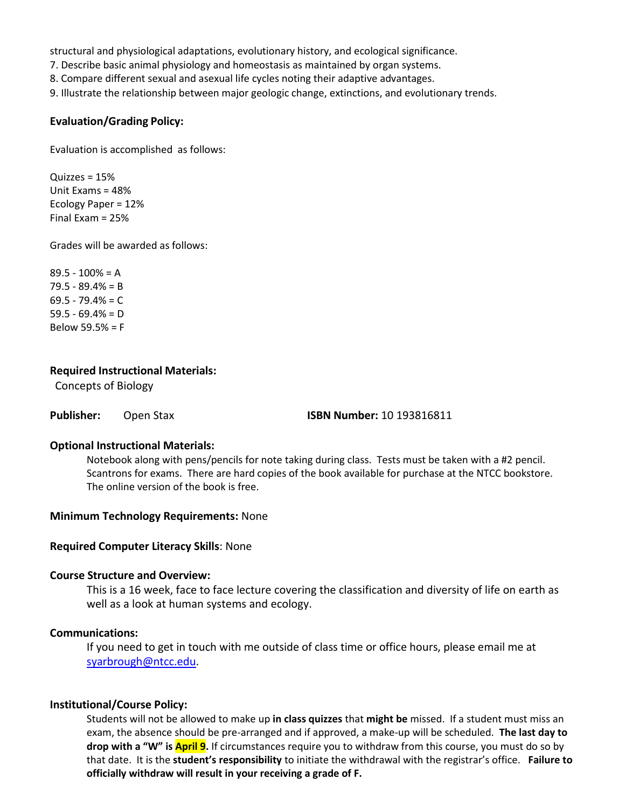structural and physiological adaptations, evolutionary history, and ecological significance.

7. Describe basic animal physiology and homeostasis as maintained by organ systems.

8. Compare different sexual and asexual life cycles noting their adaptive advantages.

9. Illustrate the relationship between major geologic change, extinctions, and evolutionary trends.

#### **Evaluation/Grading Policy:**

Evaluation is accomplished as follows:

Quizzes = 15% Unit Exams = 48% Ecology Paper = 12% Final Exam = 25%

Grades will be awarded as follows:

 $89.5 - 100% = A$  $79.5 - 89.4% = B$  $69.5 - 79.4% = C$  $59.5 - 69.4% = D$ Below 59.5% = F

#### **Required Instructional Materials:**

Concepts of Biology

**Publisher:** Open Stax **ISBN Number:** 10 193816811

#### **Optional Instructional Materials:**

Notebook along with pens/pencils for note taking during class. Tests must be taken with a #2 pencil. Scantrons for exams. There are hard copies of the book available for purchase at the NTCC bookstore. The online version of the book is free.

#### **Minimum Technology Requirements:** None

#### **Required Computer Literacy Skills**: None

#### **Course Structure and Overview:**

This is a 16 week, face to face lecture covering the classification and diversity of life on earth as well as a look at human systems and ecology.

#### **Communications:**

If you need to get in touch with me outside of class time or office hours, please email me at [syarbrough@ntcc.edu.](mailto:syarbrough@ntcc.edu)

#### **Institutional/Course Policy:**

Students will not be allowed to make up **in class quizzes** that **might be** missed. If a student must miss an exam, the absence should be pre-arranged and if approved, a make-up will be scheduled. **The last day to drop with a "W" is April 9.** If circumstances require you to withdraw from this course, you must do so by that date. It is the **student's responsibility** to initiate the withdrawal with the registrar's office. **Failure to officially withdraw will result in your receiving a grade of F.**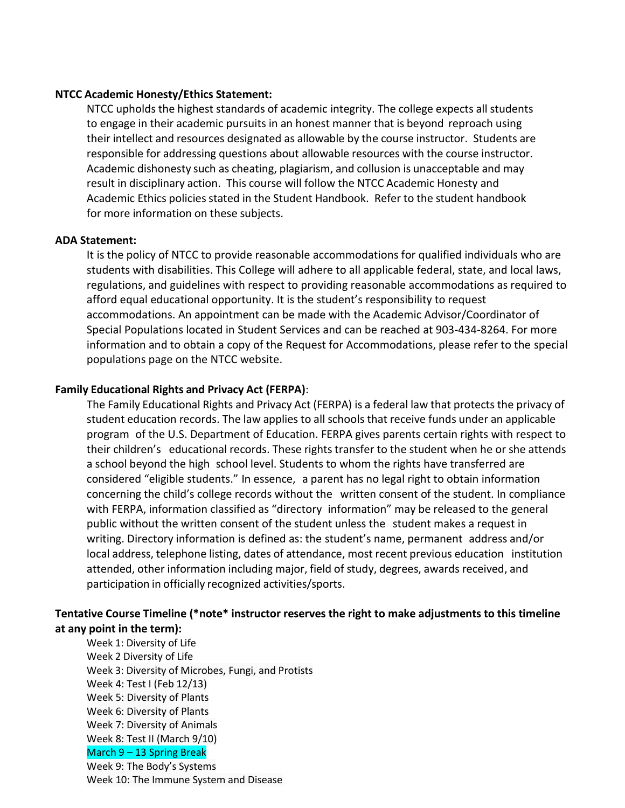#### **NTCC Academic Honesty/Ethics Statement:**

NTCC upholds the highest standards of academic integrity. The college expects all students to engage in their academic pursuits in an honest manner that is beyond reproach using their intellect and resources designated as allowable by the course instructor. Students are responsible for addressing questions about allowable resources with the course instructor. Academic dishonesty such as cheating, plagiarism, and collusion is unacceptable and may result in disciplinary action. This course will follow the NTCC Academic Honesty and Academic Ethics policies stated in the Student Handbook. Refer to the student handbook for more information on these subjects.

#### **ADA Statement:**

It is the policy of NTCC to provide reasonable accommodations for qualified individuals who are students with disabilities. This College will adhere to all applicable federal, state, and local laws, regulations, and guidelines with respect to providing reasonable accommodations as required to afford equal educational opportunity. It is the student's responsibility to request accommodations. An appointment can be made with the Academic Advisor/Coordinator of Special Populations located in Student Services and can be reached at 903-434-8264. For more information and to obtain a copy of the Request for Accommodations, please refer to the special populations page on the NTCC websit[e.](http://www.ntcc.edu/index.php?module=Pagesetter&func=viewpub&tid=111&pid=1) 

#### **Family Educational Rights and Privacy Act (FERPA)**:

The Family Educational Rights and Privacy Act (FERPA) is a federal law that protects the privacy of student education records. The law applies to all schools that receive funds under an applicable program of the U.S. Department of Education. FERPA gives parents certain rights with respect to their children's educational records. These rights transfer to the student when he or she attends a school beyond the high school level. Students to whom the rights have transferred are considered "eligible students." In essence, a parent has no legal right to obtain information concerning the child's college records without the written consent of the student. In compliance with FERPA, information classified as "directory information" may be released to the general public without the written consent of the student unless the student makes a request in writing. Directory information is defined as: the student's name, permanent address and/or local address, telephone listing, dates of attendance, most recent previous education institution attended, other information including major, field of study, degrees, awards received, and participation in officially recognized activities/sports.

## **Tentative Course Timeline (\*note\* instructor reserves the right to make adjustments to this timeline at any point in the term):**

Week 1: Diversity of Life Week 2 Diversity of Life Week 3: Diversity of Microbes, Fungi, and Protists Week 4: Test I (Feb 12/13) Week 5: Diversity of Plants Week 6: Diversity of Plants Week 7: Diversity of Animals Week 8: Test II (March 9/10) March 9 – 13 Spring Break Week 9: The Body's Systems Week 10: The Immune System and Disease